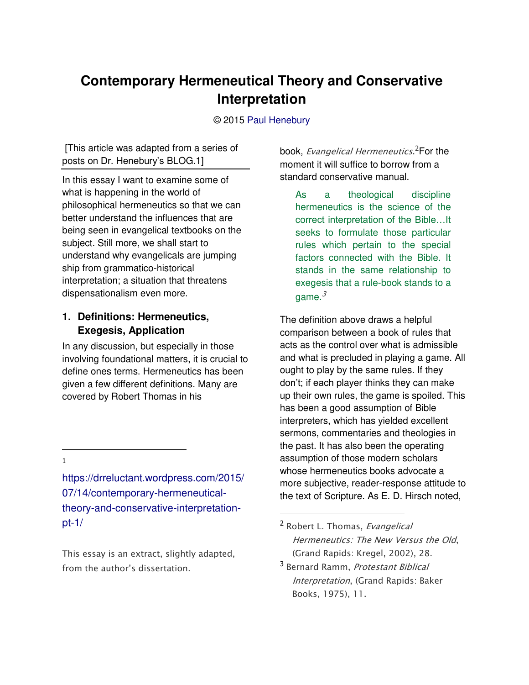# **Contemporary Hermeneutical Theory and Conservative Interpretation**

#### © 2015 [Paul Henebury](http://www.spiritandtruth.org/id/ph.htm)

 [This article was adapted from a series of posts on Dr. Henebury's [BLOG.](https://drreluctant.wordpress.com/2015/07/14/contemporary-hermeneutical-theory-and-conservative-interpretation-pt-1/)1]

In this essay I want to examine some of what is happening in the world of philosophical hermeneutics so that we can better understand the influences that are being seen in evangelical textbooks on the subject. Still more, we shall start to understand why evangelicals are jumping ship from grammatico-historical interpretation; a situation that threatens dispensationalism even more.

#### **1. Definitions: Hermeneutics, Exegesis, Application**

In any discussion, but especially in those involving foundational matters, it is crucial to define ones terms. Hermeneutics has been given a few different definitions. Many are covered by Robert Thomas in his

 $\overline{a}$ 1

[https://drreluctant.wordpress.com/2015/](https://drreluctant.wordpress.com/2015/07/14/contemporary-hermeneutical-theory-and-conservative-interpretation-pt-1/) [07/14/contemporary-hermeneutical](https://drreluctant.wordpress.com/2015/07/14/contemporary-hermeneutical-theory-and-conservative-interpretation-pt-1/)[theory-and-conservative-interpretation](https://drreluctant.wordpress.com/2015/07/14/contemporary-hermeneutical-theory-and-conservative-interpretation-pt-1/) $pt-1/$ 

*This essay is an extract, slightly adapted,*  from the author's dissertation.

book, *Evangelical Hermeneutics*. <sup>2</sup>For the moment it will suffice to borrow from a standard conservative manual.

As a theological discipline hermeneutics is the science of the correct interpretation of the Bible…It seeks to formulate those particular rules which pertain to the special factors connected with the Bible. It stands in the same relationship to exegesis that a rule-book stands to a game. $3$ 

The definition above draws a helpful comparison between a book of rules that acts as the control over what is admissible and what is precluded in playing a game. All ought to play by the same rules. If they don't; if each player thinks they can make up their own rules, the game is spoiled. This has been a good assumption of Bible interpreters, which has yielded excellent sermons, commentaries and theologies in the past. It has also been the operating assumption of those modern scholars whose hermeneutics books advocate a more subjective, reader-response attitude to the text of Scripture. As E. D. Hirsch noted,

<sup>2</sup> *Robert L. Thomas, Evangelical Hermeneutics: The New Versus the Old, (Grand Rapids: Kregel, 2002), 28.*

<sup>3</sup> *Bernard Ramm, Protestant Biblical Interpretation, (Grand Rapids: Baker Books, 1975), 11.*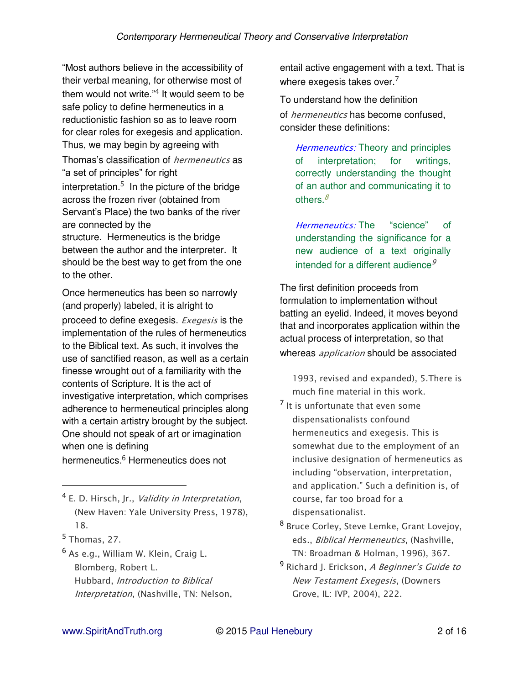"Most authors believe in the accessibility of their verbal meaning, for otherwise most of them would not write."<sup>4</sup> It would seem to be safe policy to define hermeneutics in a reductionistic fashion so as to leave room for clear roles for exegesis and application. Thus, we may begin by agreeing with Thomas's classification of *hermeneutics* as "a set of principles" for right interpretation. $5$  In the picture of the bridge across the frozen river (obtained from Servant's Place) the two banks of the river are connected by the structure. Hermeneutics is the bridge between the author and the interpreter. It should be the best way to get from the one to the other.

Once hermeneutics has been so narrowly (and properly) labeled, it is alright to proceed to define exegesis. *Exegesis* is the implementation of the rules of hermeneutics to the Biblical text. As such, it involves the use of sanctified reason, as well as a certain finesse wrought out of a familiarity with the contents of Scripture. It is the act of investigative interpretation, which comprises adherence to hermeneutical principles along with a certain artistry brought by the subject. One should not speak of art or imagination when one is defining

hermeneutics.<sup>6</sup> Hermeneutics does not

<sup>4</sup> *E. D. Hirsch, Jr., Validity in Interpretation, (New Haven: Yale University Press, 1978), 18.*

<sup>5</sup> *Thomas, 27.*

 $\overline{a}$ 

<sup>6</sup> *As e.g., William W. Klein, Craig L. Blomberg, Robert L. Hubbard, Introduction to Biblical Interpretation, (Nashville, TN: Nelson,*  entail active engagement with a text. That is where exegesis takes over. $7$ 

To understand how the definition of *hermeneutics* has become confused, consider these definitions:

*Hermeneutics:* Theory and principles of interpretation; for writings, correctly understanding the thought of an author and communicating it to others. $\frac{8}{3}$ 

*Hermeneutics:* The "science" of understanding the significance for a new audience of a text originally intended for a different audience<sup> $9$ </sup>

The first definition proceeds from formulation to implementation without batting an eyelid. Indeed, it moves beyond that and incorporates application within the actual process of interpretation, so that whereas *application* should be associated

*1993, revised and expanded), 5.There is much fine material in this work.*

- 7 *It is unfortunate that even some dispensationalists confound hermeneutics and exegesis. This is somewhat due to the employment of an inclusive designation of hermeneutics as*  including "ob*servation, interpretation,*  and application." Such a definition is, of *course, far too broad for a dispensationalist.*
- <sup>8</sup> *Bruce Corley, Steve Lemke, Grant Lovejoy, eds., Biblical Hermeneutics, (Nashville, TN: Broadman & Holman, 1996), 367.*
- <sup>9</sup> *Richard J. Erickson,* A Beginner's Guide to *New Testament Exegesis, (Downers Grove, IL: IVP, 2004), 222.*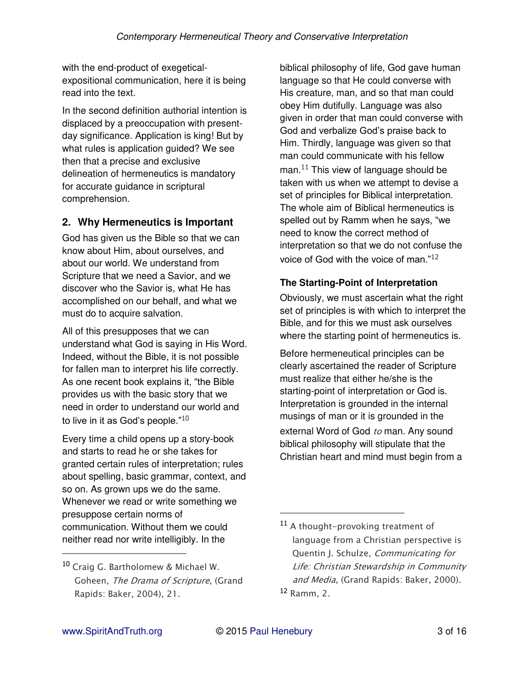with the end-product of exegeticalexpositional communication, here it is being read into the text.

In the second definition authorial intention is displaced by a preoccupation with presentday significance. Application is king! But by what rules is application guided? We see then that a precise and exclusive delineation of hermeneutics is mandatory for accurate guidance in scriptural comprehension.

# **2. Why Hermeneutics is Important**

God has given us the Bible so that we can know about Him, about ourselves, and about our world. We understand from Scripture that we need a Savior, and we discover who the Savior is, what He has accomplished on our behalf, and what we must do to acquire salvation.

All of this presupposes that we can understand what God is saying in His Word. Indeed, without the Bible, it is not possible for fallen man to interpret his life correctly. As one recent book explains it, "the Bible provides us with the basic story that we need in order to understand our world and to live in it as God's people."<sup>10</sup>

Every time a child opens up a story-book and starts to read he or she takes for granted certain rules of interpretation; rules about spelling, basic grammar, context, and so on. As grown ups we do the same. Whenever we read or write something we presuppose certain norms of communication. Without them we could neither read nor write intelligibly. In the

biblical philosophy of life, God gave human language so that He could converse with His creature, man, and so that man could obey Him dutifully. Language was also given in order that man could converse with God and verbalize God's praise back to Him. Thirdly, language was given so that man could communicate with his fellow man. $11$  This view of language should be taken with us when we attempt to devise a set of principles for Biblical interpretation. The whole aim of Biblical hermeneutics is spelled out by Ramm when he says, "we need to know the correct method of interpretation so that we do not confuse the voice of God with the voice of man."<sup>12</sup>

## **The Starting-Point of Interpretation**

Obviously, we must ascertain what the right set of principles is with which to interpret the Bible, and for this we must ask ourselves where the starting point of hermeneutics is.

Before hermeneutical principles can be clearly ascertained the reader of Scripture must realize that either he/she is the starting-point of interpretation or God is. Interpretation is grounded in the internal musings of man or it is grounded in the external Word of God *to* man. Any sound biblical philosophy will stipulate that the Christian heart and mind must begin from a

 $\overline{a}$ 

<sup>10</sup> *Craig G. Bartholomew & Michael W. Goheen, The Drama of Scripture, (Grand Rapids: Baker, 2004), 21.*

<sup>11</sup> *A thought-provoking treatment of language from a Christian perspective is Quentin J. Schulze, Communicating for Life: Christian Stewardship in Community and Media, (Grand Rapids: Baker, 2000).* <sup>12</sup> *Ramm, 2.*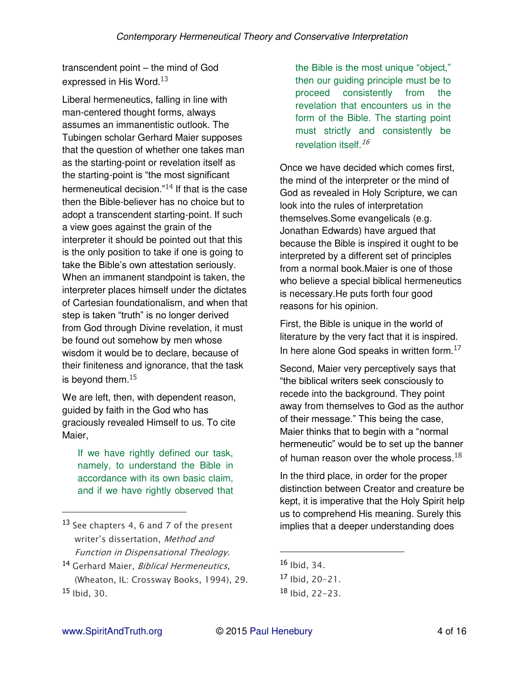transcendent point – the mind of God expressed in His Word.<sup>13</sup>

Liberal hermeneutics, falling in line with man-centered thought forms, always assumes an immanentistic outlook. The Tubingen scholar Gerhard Maier supposes that the question of whether one takes man as the starting-point or revelation itself as the starting-point is "the most significant hermeneutical decision. $14$  If that is the case then the Bible-believer has no choice but to adopt a transcendent starting-point. If such a view goes against the grain of the interpreter it should be pointed out that this is the only position to take if one is going to take the Bible's own attestation seriously. When an immanent standpoint is taken, the interpreter places himself under the dictates of Cartesian foundationalism, and when that step is taken "truth" is no longer derived from God through Divine revelation, it must be found out somehow by men whose wisdom it would be to declare, because of their finiteness and ignorance, that the task is beyond them.<sup>15</sup>

We are left, then, with dependent reason, guided by faith in the God who has graciously revealed Himself to us. To cite Maier,

If we have rightly defined our task, namely, to understand the Bible in accordance with its own basic claim, and if we have rightly observed that the Bible is the most unique "object," then our guiding principle must be to proceed consistently from the revelation that encounters us in the form of the Bible. The starting point must strictly and consistently be revelation itself.  $^{16}$ 

Once we have decided which comes first, the mind of the interpreter or the mind of God as revealed in Holy Scripture, we can look into the rules of interpretation themselves.Some evangelicals (e.g. Jonathan Edwards) have argued that because the Bible is inspired it ought to be interpreted by a different set of principles from a normal book.Maier is one of those who believe a special biblical hermeneutics is necessary.He puts forth four good reasons for his opinion.

First, the Bible is unique in the world of literature by the very fact that it is inspired. In here alone God speaks in written form.<sup>17</sup>

Second, Maier very perceptively says that "the biblical writers seek consciously to recede into the background. They point away from themselves to God as the author of their message." This being the case, Maier thinks that to begin with a "normal hermeneutic" would be to set up the banner of human reason over the whole process.  $18$ 

In the third place, in order for the proper distinction between Creator and creature be kept, it is imperative that the Holy Spirit help us to comprehend His meaning. Surely this implies that a deeper understanding does

 $\overline{a}$ 

<sup>13</sup> *See chapters 4, 6 and 7 of the present*  writer's dissertation, *Method and Function in Dispensational Theology.*

<sup>14</sup> *Gerhard Maier, Biblical Hermeneutics, (Wheaton, IL: Crossway Books, 1994), 29.* <sup>15</sup> *Ibid, 30.*

<sup>16</sup> *Ibid, 34.*

<sup>17</sup> *Ibid, 20-21.*

<sup>18</sup> *Ibid, 22-23.*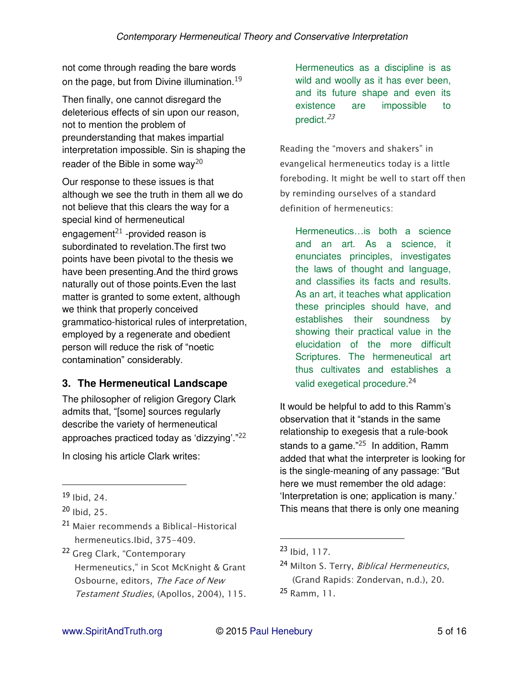not come through reading the bare words on the page, but from Divine illumination.<sup>19</sup>

Then finally, one cannot disregard the deleterious effects of sin upon our reason, not to mention the problem of preunderstanding that makes impartial interpretation impossible. Sin is shaping the reader of the Bible in some way<sup>20</sup>

Our response to these issues is that although we see the truth in them all we do not believe that this clears the way for a special kind of hermeneutical engagement<sup>21</sup> -provided reason is subordinated to revelation.The first two points have been pivotal to the thesis we have been presenting.And the third grows naturally out of those points.Even the last matter is granted to some extent, although we think that properly conceived grammatico-historical rules of interpretation, employed by a regenerate and obedient person will reduce the risk of "noetic contamination" considerably.

## **3. The Hermeneutical Landscape**

The philosopher of religion Gregory Clark admits that, "[some] sources regularly describe the variety of hermeneutical approaches practiced today as 'dizzying'."<sup>22</sup> In closing his article Clark writes:

 $\overline{a}$ 

- <sup>21</sup> *Maier recommends a Biblical-Historical hermeneutics.Ibid, 375-409.*
- <sup>22</sup> Greg Clark, "Contemporary Hermeneutics," in Scot McKnight & Grant *Osbourne, editors, The Face of New Testament Studies, (Apollos, 2004), 115.*

Hermeneutics as a discipline is as wild and woolly as it has ever been, and its future shape and even its existence are impossible to predict. $23$ 

Reading the "movers and shakers" in *evangelical hermeneutics today is a little foreboding. It might be well to start off then by reminding ourselves of a standard definition of hermeneutics:* 

Hermeneutics…is both a science and an art. As a science, it enunciates principles, investigates the laws of thought and language, and classifies its facts and results. As an art, it teaches what application these principles should have, and establishes their soundness by showing their practical value in the elucidation of the more difficult Scriptures. The hermeneutical art thus cultivates and establishes a valid exegetical procedure.<sup>24</sup>

It would be helpful to add to this Ramm's observation that it "stands in the same relationship to exegesis that a rule-book stands to a game. $n^{25}$  In addition, Ramm added that what the interpreter is looking for is the single-meaning of any passage: "But here we must remember the old adage: 'Interpretation is one; application is many.' This means that there is only one meaning

<sup>19</sup> *Ibid, 24.*

<sup>20</sup> *Ibid, 25.*

<sup>23</sup> *Ibid, 117.*

<sup>24</sup> *Milton S. Terry, Biblical Hermeneutics, (Grand Rapids: Zondervan, n.d.), 20.* <sup>25</sup> *Ramm, 11.*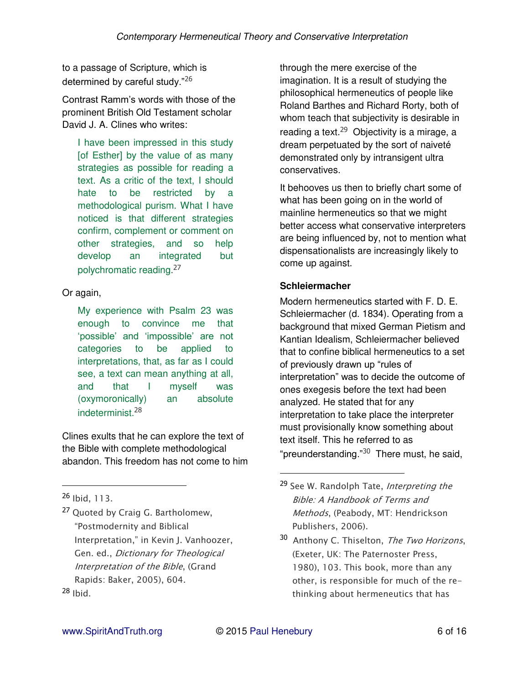to a passage of Scripture, which is determined by careful study."<sup>26</sup>

Contrast Ramm's words with those of the prominent British Old Testament scholar David J. A. Clines who writes:

I have been impressed in this study [of Esther] by the value of as many strategies as possible for reading a text. As a critic of the text, I should hate to be restricted by a methodological purism. What I have noticed is that different strategies confirm, complement or comment on other strategies, and so help develop an integrated but polychromatic reading.<sup>27</sup>

Or again,

My experience with Psalm 23 was enough to convince me that 'possible' and 'impossible' are not categories to be applied to interpretations, that, as far as I could see, a text can mean anything at all, and that I myself was (oxymoronically) an absolute indeterminist.<sup>28</sup>

Clines exults that he can explore the text of the Bible with complete methodological abandon. This freedom has not come to him

 $\overline{a}$ 

<sup>27</sup> *Quoted by Craig G. Bartholomew,*  "Postmodernity and Biblical Interpretation," in Kevin J. Vanhoozer, *Gen. ed., Dictionary for Theological Interpretation of the Bible, (Grand Rapids: Baker, 2005), 604.* <sup>28</sup> *Ibid.*

through the mere exercise of the imagination. It is a result of studying the philosophical hermeneutics of people like Roland Barthes and Richard Rorty, both of whom teach that subjectivity is desirable in reading a text.<sup>29</sup> Objectivity is a mirage, a dream perpetuated by the sort of naiveté demonstrated only by intransigent ultra conservatives.

It behooves us then to briefly chart some of what has been going on in the world of mainline hermeneutics so that we might better access what conservative interpreters are being influenced by, not to mention what dispensationalists are increasingly likely to come up against.

## **Schleiermacher**

Modern hermeneutics started with F. D. E. Schleiermacher (d. 1834). Operating from a background that mixed German Pietism and Kantian Idealism, Schleiermacher believed that to confine biblical hermeneutics to a set of previously drawn up "rules of interpretation" was to decide the outcome of ones exegesis before the text had been analyzed. He stated that for any interpretation to take place the interpreter must provisionally know something about text itself. This he referred to as "preunderstanding."<sup>30</sup> There must, he said,

<sup>26</sup> *Ibid, 113.*

<sup>29</sup> *See W. Randolph Tate, Interpreting the Bible: A Handbook of Terms and Methods, (Peabody, MT: Hendrickson Publishers, 2006).*

<sup>30</sup> *Anthony C. Thiselton, The Two Horizons, (Exeter, UK: The Paternoster Press, 1980), 103. This book, more than any other, is responsible for much of the rethinking about hermeneutics that has*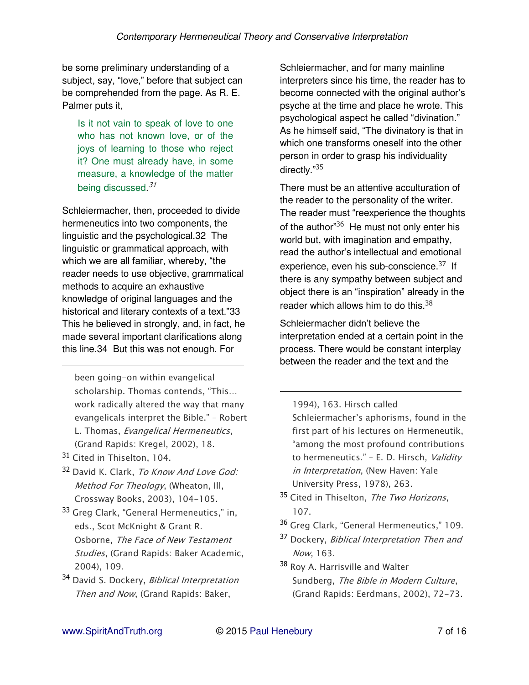be some preliminary understanding of a subject, say, "love," before that subject can be comprehended from the page. As R. E. Palmer puts it,

Is it not vain to speak of love to one who has not known love, or of the joys of learning to those who reject it? One must already have, in some measure, a knowledge of the matter being discussed.<sup>31</sup>

Schleiermacher, then, proceeded to divide hermeneutics into two components, the linguistic and the psychological.32 The linguistic or grammatical approach, with which we are all familiar, whereby, "the reader needs to use objective, grammatical methods to acquire an exhaustive knowledge of original languages and the historical and literary contexts of a text."33 This he believed in strongly, and, in fact, he made several important clarifications along this line.34 But this was not enough. For

*been going-on within evangelical*  scholarship. Thomas contends, "This… *work radically altered the way that many*  evangelicals interpret the Bible." – *Robert L. Thomas, Evangelical Hermeneutics, (Grand Rapids: Kregel, 2002), 18.*

<sup>31</sup> *Cited in Thiselton, 104.*

 $\ddot{\phantom{a}}$ 

- <sup>32</sup> *David K. Clark, To Know And Love God: Method For Theology, (Wheaton, Ill, Crossway Books, 2003), 104-105.*
- 33 Greg Clark, "General Hermeneutics," in, *eds., Scot McKnight & Grant R. Osborne, The Face of New Testament Studies, (Grand Rapids: Baker Academic, 2004), 109.*
- <sup>34</sup> *David S. Dockery, Biblical Interpretation Then and Now, (Grand Rapids: Baker,*

Schleiermacher, and for many mainline interpreters since his time, the reader has to become connected with the original author's psyche at the time and place he wrote. This psychological aspect he called "divination." As he himself said, "The divinatory is that in which one transforms oneself into the other person in order to grasp his individuality directly."<sup>35</sup>

There must be an attentive acculturation of the reader to the personality of the writer. The reader must "reexperience the thoughts of the author<sup>"36</sup> He must not only enter his world but, with imagination and empathy, read the author's intellectual and emotional experience, even his sub-conscience.<sup>37</sup> If there is any sympathy between subject and object there is an "inspiration" already in the reader which allows him to do this. $38$ 

Schleiermacher didn't believe the interpretation ended at a certain point in the process. There would be constant interplay between the reader and the text and the

*1994), 163. Hirsch called*  Schleiermacher's aphorisms, found in the

*first part of his lectures on Hermeneutik,*  "among the most profound contributions to hermeneutics." – *E. D. Hirsch, Validity in Interpretation, (New Haven: Yale University Press, 1978), 263.*

- <sup>35</sup> *Cited in Thiselton, The Two Horizons, 107.*
- 36 Greg Clark, "General Hermeneutics," 109.
- <sup>37</sup> *Dockery, Biblical Interpretation Then and Now, 163.*
- <sup>38</sup> *Roy A. Harrisville and Walter Sundberg, The Bible in Modern Culture, (Grand Rapids: Eerdmans, 2002), 72-73.*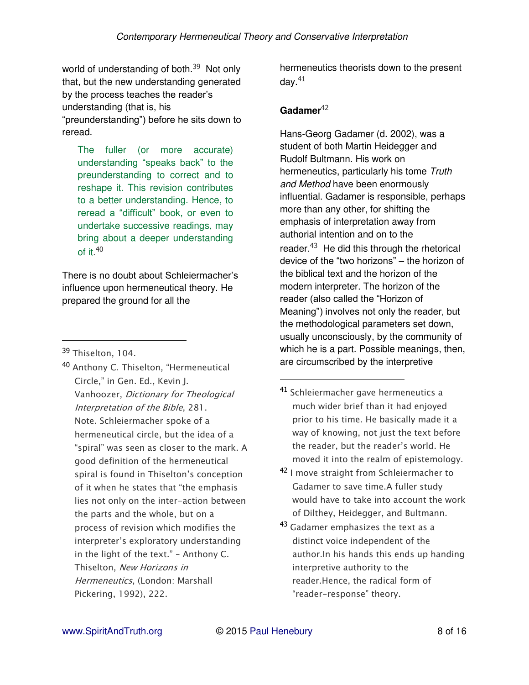world of understanding of both.<sup>39</sup> Not only that, but the new understanding generated by the process teaches the reader's understanding (that is, his "preunderstanding") before he sits down to reread.

The fuller (or more accurate) understanding "speaks back" to the preunderstanding to correct and to reshape it. This revision contributes to a better understanding. Hence, to reread a "difficult" book, or even to undertake successive readings, may bring about a deeper understanding of it. $40$ 

There is no doubt about Schleiermacher's influence upon hermeneutical theory. He prepared the ground for all the

 $\overline{a}$ 

40 Anthony C. Thiselton, "Hermeneutical Circle," in Gen. Ed., Kevin J. *Vanhoozer, Dictionary for Theological Interpretation of the Bible, 281. Note. Schleiermacher spoke of a hermeneutical circle, but the idea of a*  "spiral" was seen as closer to the mark. A *good definition of the hermeneutical*  spiral is found in Thiselton's conception of it when he states that "the emphasis *lies not only on the inter-action between the parts and the whole, but on a process of revision which modifies the*  interpreter's exploratory understanding in the light of the text." – *Anthony C. Thiselton, New Horizons in Hermeneutics, (London: Marshall Pickering, 1992), 222.*

hermeneutics theorists down to the present day. $41$ 

## Gadamer<sup>42</sup>

Hans-Georg Gadamer (d. 2002), was a student of both Martin Heidegger and Rudolf Bultmann. His work on hermeneutics, particularly his tome *Truth and Method* have been enormously influential. Gadamer is responsible, perhaps more than any other, for shifting the emphasis of interpretation away from authorial intention and on to the reader. $43$  He did this through the rhetorical device of the "two horizons" – the horizon of the biblical text and the horizon of the modern interpreter. The horizon of the reader (also called the "Horizon of Meaning") involves not only the reader, but the methodological parameters set down, usually unconsciously, by the community of which he is a part. Possible meanings, then, are circumscribed by the interpretive

- <sup>41</sup> *Schleiermacher gave hermeneutics a much wider brief than it had enjoyed prior to his time. He basically made it a way of knowing, not just the text before*  the reader, but the reader's world. He *moved it into the realm of epistemology.*
- <sup>42</sup> *I move straight from Schleiermacher to Gadamer to save time.A fuller study would have to take into account the work of Dilthey, Heidegger, and Bultmann.*
- <sup>43</sup> *Gadamer emphasizes the text as a distinct voice independent of the author.In his hands this ends up handing interpretive authority to the reader.Hence, the radical form of*  "reader*-*response" theory.

<sup>39</sup> *Thiselton, 104.*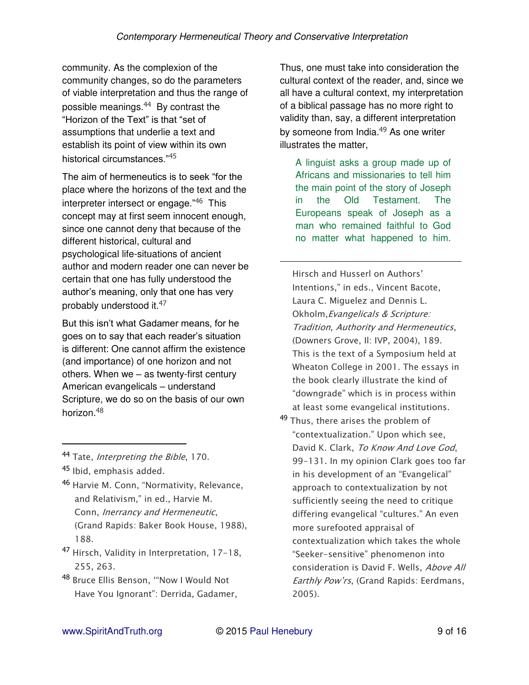$\overline{a}$ 

community. As the complexion of the community changes, so do the parameters of viable interpretation and thus the range of possible meanings.44 By contrast the "Horizon of the Text" is that "set of assumptions that underlie a text and establish its point of view within its own historical circumstances."<sup>45</sup>

The aim of hermeneutics is to seek "for the place where the horizons of the text and the interpreter intersect or engage."46 This concept may at first seem innocent enough, since one cannot deny that because of the different historical, cultural and psychological life-situations of ancient author and modern reader one can never be certain that one has fully understood the author's meaning, only that one has very probably understood it.<sup>47</sup>

But this isn't what Gadamer means, for he goes on to say that each reader's situation is different: One cannot affirm the existence (and importance) of one horizon and not others. When we – as twenty-first century American evangelicals – understand Scripture, we do so on the basis of our own horizon.<sup>48</sup>

 $\overline{a}$ 

- <sup>47</sup> *Hirsch, Validity in Interpretation, 17-18, 255, 263.*
- <sup>48</sup> Bruce Ellis Benson, "Now I Would Not Have You Ignorant": Derrida, Gadamer,

Thus, one must take into consideration the cultural context of the reader, and, since we all have a cultural context, my interpretation of a biblical passage has no more right to validity than, say, a different interpretation by someone from India.<sup>49</sup> As one writer illustrates the matter,

A linguist asks a group made up of Africans and missionaries to tell him the main point of the story of Joseph in the Old Testament. The Europeans speak of Joseph as a man who remained faithful to God no matter what happened to him.

Hirsch and Husserl on Authors' Intentions," in eds., Vincent Bacote, *Laura C. Miguelez and Dennis L. Okholm,Evangelicals & Scripture: Tradition, Authority and Hermeneutics, (Downers Grove, Il: IVP, 2004), 189. This is the text of a Symposium held at Wheaton College in 2001. The essays in the book clearly illustrate the kind of*  "downgrade" which *is in process within at least some evangelical institutions.*

<sup>49</sup> *Thus, there arises the problem of*  "contextualization." Upon which see, *David K. Clark, To Know And Love God, 99-131. In my opinion Clark goes too far*  in his development of an "Evangelical" *approach to contextualization by not sufficiently seeing the need to critique*  differing evangelical "cultures." An even *more surefooted appraisal of contextualization which takes the whole*  "Seeker*-*sensitive" phenomenon into *consideration is David F. Wells, Above All*  Earthly Pow'rs*, (Grand Rapids: Eerdmans, 2005).*

<sup>44</sup> *Tate, Interpreting the Bible, 170.*

<sup>45</sup> *Ibid, emphasis added.*

<sup>46</sup> Harvie M. Conn, "Normativity, Relevance, and Relativism," in ed., Harvie M. *Conn, Inerrancy and Hermeneutic, (Grand Rapids: Baker Book House, 1988), 188.*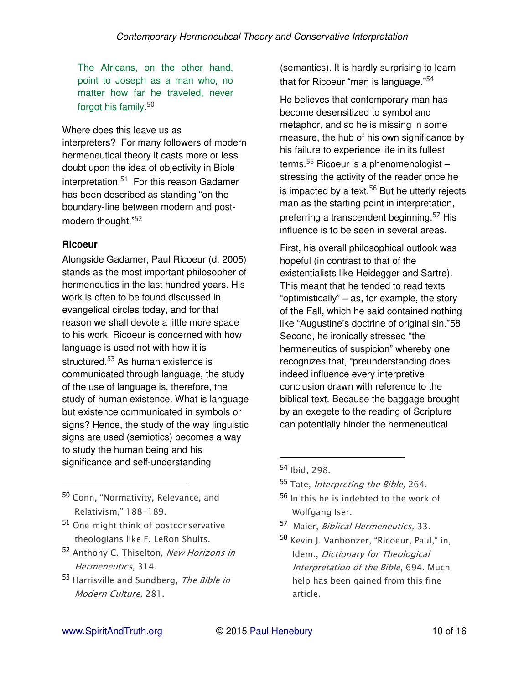The Africans, on the other hand, point to Joseph as a man who, no matter how far he traveled, never forgot his family.<sup>50</sup>

#### Where does this leave us as

interpreters? For many followers of modern hermeneutical theory it casts more or less doubt upon the idea of objectivity in Bible interpretation. $51$  For this reason Gadamer has been described as standing "on the boundary-line between modern and postmodern thought."<sup>52</sup>

#### **Ricoeur**

 $\overline{a}$ 

Alongside Gadamer, Paul Ricoeur (d. 2005) stands as the most important philosopher of hermeneutics in the last hundred years. His work is often to be found discussed in evangelical circles today, and for that reason we shall devote a little more space to his work. Ricoeur is concerned with how language is used not with how it is structured.<sup>53</sup> As human existence is communicated through language, the study of the use of language is, therefore, the study of human existence. What is language but existence communicated in symbols or signs? Hence, the study of the way linguistic signs are used (semiotics) becomes a way to study the human being and his significance and self-understanding

<sup>50</sup> Conn, "Normativity, Relevance, and Relativism," 188*-189.*

- <sup>51</sup> *One might think of postconservative theologians like F. LeRon Shults.*
- <sup>52</sup> *Anthony C. Thiselton, New Horizons in Hermeneutics, 314.*
- <sup>53</sup> *Harrisville and Sundberg, The Bible in Modern Culture, 281.*

(semantics). It is hardly surprising to learn that for Ricoeur "man is language."<sup>54</sup>

He believes that contemporary man has become desensitized to symbol and metaphor, and so he is missing in some measure, the hub of his own significance by his failure to experience life in its fullest terms.<sup>55</sup> Ricoeur is a phenomenologist  $$ stressing the activity of the reader once he is impacted by a text.  $56$  But he utterly rejects man as the starting point in interpretation, preferring a transcendent beginning.<sup>57</sup> His influence is to be seen in several areas.

First, his overall philosophical outlook was hopeful (in contrast to that of the existentialists like Heidegger and Sartre). This meant that he tended to read texts "optimistically" – as, for example, the story of the Fall, which he said contained nothing like "Augustine's doctrine of original sin."58 Second, he ironically stressed "the hermeneutics of suspicion" whereby one recognizes that, "preunderstanding does indeed influence every interpretive conclusion drawn with reference to the biblical text. Because the baggage brought by an exegete to the reading of Scripture can potentially hinder the hermeneutical

- <sup>56</sup> *In this he is indebted to the work of Wolfgang Iser.*
- <sup>57</sup> *Maier, Biblical Hermeneutics, 33.*
- 58 Kevin J. Vanhoozer, "Ricoeur, Paul," in, *Idem., Dictionary for Theological Interpretation of the Bible, 694. Much help has been gained from this fine article.*

<sup>54</sup> *Ibid, 298.*

<sup>55</sup> *Tate, Interpreting the Bible, 264.*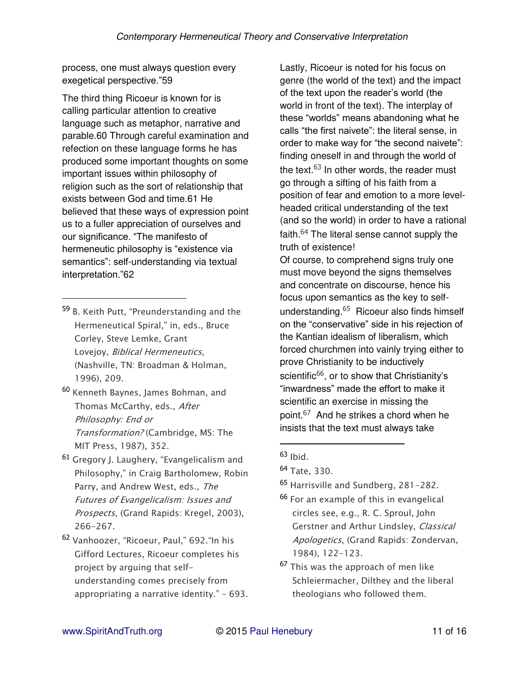process, one must always question every exegetical perspective."59

The third thing Ricoeur is known for is calling particular attention to creative language such as metaphor, narrative and parable.60 Through careful examination and refection on these language forms he has produced some important thoughts on some important issues within philosophy of religion such as the sort of relationship that exists between God and time.61 He believed that these ways of expression point us to a fuller appreciation of ourselves and our significance. "The manifesto of hermeneutic philosophy is "existence via semantics": self-understanding via textual interpretation."62

<sup>59</sup> B. Keith Putt, "Preunderstanding and the Hermeneutical Spiral," in, eds., Bruce *Corley, Steve Lemke, Grant Lovejoy, Biblical Hermeneutics, (Nashville, TN: Broadman & Holman, 1996), 209.*

 $\overline{a}$ 

- <sup>60</sup> *Kenneth Baynes, James Bohman, and Thomas McCarthy, eds., After Philosophy: End or Transformation? (Cambridge, MS: The MIT Press, 1987), 352.*
- <sup>61</sup> Gregory J. Laughery, "Evangelicalism and Philosophy," in Craig Bartholomew, Rob*in Parry, and Andrew West, eds., The Futures of Evangelicalism: Issues and Prospects, (Grand Rapids: Kregel, 2003), 266-267.*
- <sup>62</sup> Vanhoozer, "Ricoeur, Paul," 692."In his *Gifford Lectures, Ricoeur completes his project by arguing that selfunderstanding comes precisely from*  appropriating a narrative identity." – *693.*

Lastly, Ricoeur is noted for his focus on genre (the world of the text) and the impact of the text upon the reader's world (the world in front of the text). The interplay of these "worlds" means abandoning what he calls "the first naivete": the literal sense, in order to make way for "the second naivete": finding oneself in and through the world of the text.<sup>63</sup> In other words, the reader must go through a sifting of his faith from a position of fear and emotion to a more levelheaded critical understanding of the text (and so the world) in order to have a rational faith.<sup>64</sup> The literal sense cannot supply the truth of existence!

Of course, to comprehend signs truly one must move beyond the signs themselves and concentrate on discourse, hence his focus upon semantics as the key to selfunderstanding.65 Ricoeur also finds himself on the "conservative" side in his rejection of the Kantian idealism of liberalism, which forced churchmen into vainly trying either to prove Christianity to be inductively scientific<sup>66</sup>, or to show that Christianity's "inwardness" made the effort to make it scientific an exercise in missing the point.<sup>67</sup> And he strikes a chord when he insists that the text must always take

- <sup>65</sup> *Harrisville and Sundberg, 281-282.*
- <sup>66</sup> *For an example of this in evangelical circles see, e.g., R. C. Sproul, John Gerstner and Arthur Lindsley, Classical Apologetics, (Grand Rapids: Zondervan, 1984), 122-123.*
- <sup>67</sup> *This was the approach of men like Schleiermacher, Dilthey and the liberal theologians who followed them.*

<sup>63</sup> *Ibid.*

<sup>64</sup> *Tate, 330.*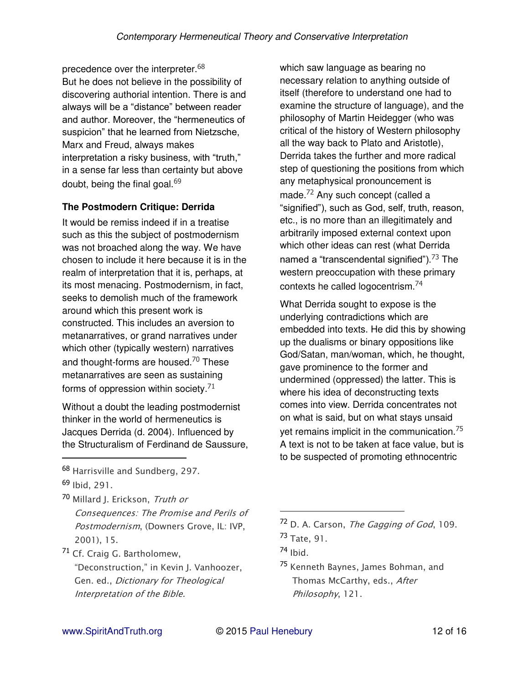precedence over the interpreter.<sup>68</sup> But he does not believe in the possibility of discovering authorial intention. There is and always will be a "distance" between reader and author. Moreover, the "hermeneutics of suspicion" that he learned from Nietzsche, Marx and Freud, always makes interpretation a risky business, with "truth," in a sense far less than certainty but above doubt, being the final goal.  $69$ 

#### **The Postmodern Critique: Derrida**

It would be remiss indeed if in a treatise such as this the subject of postmodernism was not broached along the way. We have chosen to include it here because it is in the realm of interpretation that it is, perhaps, at its most menacing. Postmodernism, in fact, seeks to demolish much of the framework around which this present work is constructed. This includes an aversion to metanarratives, or grand narratives under which other (typically western) narratives and thought-forms are housed.<sup>70</sup> These metanarratives are seen as sustaining forms of oppression within society. $71$ 

Without a doubt the leading postmodernist thinker in the world of hermeneutics is Jacques Derrida (d. 2004). Influenced by the Structuralism of Ferdinand de Saussure,

<sup>68</sup> *Harrisville and Sundberg, 297.* <sup>69</sup> *Ibid, 291.*

 $\overline{a}$ 

<sup>70</sup> *Millard J. Erickson, Truth or Consequences: The Promise and Perils of Postmodernism, (Downers Grove, IL: IVP, 2001), 15.*

<sup>71</sup> *Cf. Craig G. Bartholomew,*  "Deconstruction," in Kevin J. Vanhoozer, *Gen. ed., Dictionary for Theological Interpretation of the Bible.*

which saw language as bearing no necessary relation to anything outside of itself (therefore to understand one had to examine the structure of language), and the philosophy of Martin Heidegger (who was critical of the history of Western philosophy all the way back to Plato and Aristotle), Derrida takes the further and more radical step of questioning the positions from which any metaphysical pronouncement is made.<sup>72</sup> Any such concept (called a "signified"), such as God, self, truth, reason, etc., is no more than an illegitimately and arbitrarily imposed external context upon which other ideas can rest (what Derrida named a "transcendental signified").<sup>73</sup> The western preoccupation with these primary contexts he called logocentrism.<sup>74</sup>

What Derrida sought to expose is the underlying contradictions which are embedded into texts. He did this by showing up the dualisms or binary oppositions like God/Satan, man/woman, which, he thought, gave prominence to the former and undermined (oppressed) the latter. This is where his idea of deconstructing texts comes into view. Derrida concentrates not on what is said, but on what stays unsaid yet remains implicit in the communication.<sup>75</sup> A text is not to be taken at face value, but is to be suspected of promoting ethnocentric

<sup>72</sup> *D. A. Carson, The Gagging of God, 109.* <sup>73</sup> *Tate, 91.*

<sup>74</sup> *Ibid.*

<sup>75</sup> *Kenneth Baynes, James Bohman, and Thomas McCarthy, eds., After Philosophy, 121.*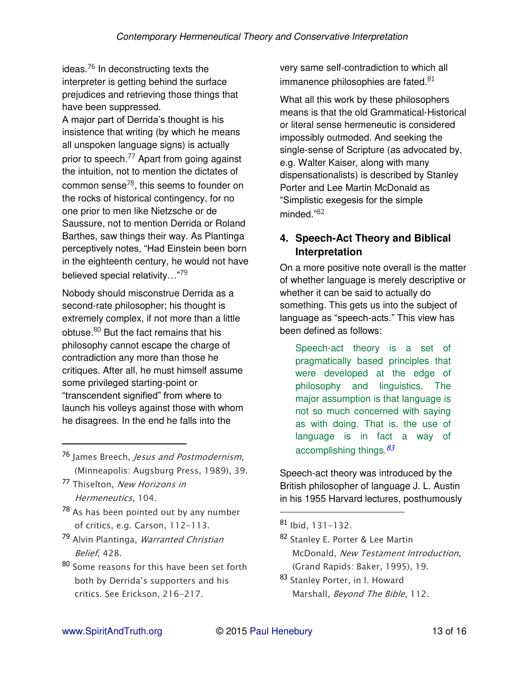ideas.76 In deconstructing texts the interpreter is getting behind the surface prejudices and retrieving those things that have been suppressed.

A major part of Derrida's thought is his insistence that writing (by which he means all unspoken language signs) is actually prior to speech.<sup>77</sup> Apart from going against the intuition, not to mention the dictates of common sense<sup>78</sup>, this seems to founder on the rocks of historical contingency, for no one prior to men like Nietzsche or de Saussure, not to mention Derrida or Roland Barthes, saw things their way. As Plantinga perceptively notes, "Had Einstein been born in the eighteenth century, he would not have believed special relativity..."<sup>79</sup>

Nobody should misconstrue Derrida as a second-rate philosopher; his thought is extremely complex, if not more than a little obtuse.80 But the fact remains that his philosophy cannot escape the charge of contradiction any more than those he critiques. After all, he must himself assume some privileged starting-point or "transcendent signified" from where to launch his volleys against those with whom he disagrees. In the end he falls into the

- <sup>76</sup> *James Breech, Jesus and Postmodernism, (Minneapolis: Augsburg Press, 1989), 39.*
- <sup>77</sup> *Thiselton, New Horizons in Hermeneutics, 104.*

 $\overline{a}$ 

- <sup>78</sup> *As has been pointed out by any number of critics, e.g. Carson, 112-113.*
- <sup>79</sup> *Alvin Plantinga, Warranted Christian Belief, 428.*
- <sup>80</sup> *Some reasons for this have been set forth*  both by Derrida's supporters and his *critics. See Erickson, 216-217.*

very same self-contradiction to which all immanence philosophies are fated. $81$ 

What all this work by these philosophers means is that the old Grammatical-Historical or literal sense hermeneutic is considered impossibly outmoded. And seeking the single-sense of Scripture (as advocated by, e.g. Walter Kaiser, along with many dispensationalists) is described by Stanley Porter and Lee Martin McDonald as "Simplistic exegesis for the simple minded."<sup>82</sup>

## **4. Speech-Act Theory and Biblical Interpretation**

On a more positive note overall is the matter of whether language is merely descriptive or whether it can be said to actually do something. This gets us into the subject of language as "speech-acts." This view has been defined as follows:

Speech-act theory is a set of pragmatically based principles that were developed at the edge of philosophy and linguistics. The major assumption is that language is not so much concerned with saying as with doing. That is, the use of language is in fact a way of accomplishing things.  $83$ 

Speech-act theory was introduced by the British philosopher of language J. L. Austin in his 1955 Harvard lectures, posthumously

- <sup>82</sup> *Stanley E. Porter & Lee Martin McDonald, New Testament Introduction, (Grand Rapids: Baker, 1995), 19.*
- <sup>83</sup> *Stanley Porter, in I. Howard Marshall, Beyond The Bible, 112.*

<sup>81</sup> *Ibid, 131-132.*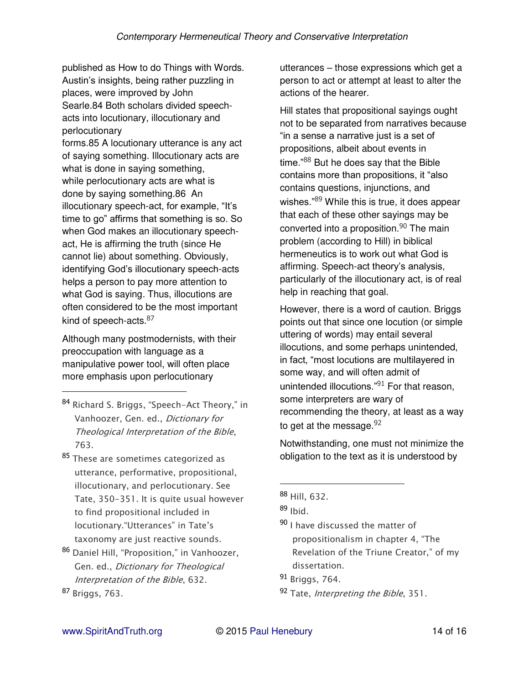published as How to do Things with Words. Austin's insights, being rather puzzling in places, were improved by John Searle.84 Both scholars divided speechacts into locutionary, illocutionary and perlocutionary

forms.85 A locutionary utterance is any act of saying something. Illocutionary acts are what is done in saying something, while perlocutionary acts are what is done by saying something.86 An illocutionary speech-act, for example, "It's time to go" affirms that something is so. So when God makes an illocutionary speechact, He is affirming the truth (since He cannot lie) about something. Obviously, identifying God's illocutionary speech-acts helps a person to pay more attention to what God is saying. Thus, illocutions are often considered to be the most important kind of speech-acts. 87

Although many postmodernists, with their preoccupation with language as a manipulative power tool, will often place more emphasis upon perlocutionary

- <sup>84</sup> Richard S. Briggs, "Speech*-*Act Theory," in *Vanhoozer, Gen. ed., Dictionary for Theological Interpretation of the Bible, 763.*
- <sup>85</sup> *These are sometimes categorized as utterance, performative, propositional, illocutionary, and perlocutionary. See Tate, 350-351. It is quite usual however to find propositional included in*  locutionary."Utterances" in Tate's *taxonomy are just reactive sounds.*
- <sup>86</sup> Daniel Hill, "Proposition," in Vanhoozer, *Gen. ed., Dictionary for Theological Interpretation of the Bible, 632.* <sup>87</sup> *Briggs, 763.*

utterances – those expressions which get a person to act or attempt at least to alter the actions of the hearer.

Hill states that propositional sayings ought not to be separated from narratives because "in a sense a narrative just is a set of propositions, albeit about events in time."<sup>88</sup> But he does say that the Bible contains more than propositions, it "also contains questions, injunctions, and wishes."<sup>89</sup> While this is true, it does appear that each of these other sayings may be converted into a proposition.<sup>90</sup> The main problem (according to Hill) in biblical hermeneutics is to work out what God is affirming. Speech-act theory's analysis, particularly of the illocutionary act, is of real help in reaching that goal.

However, there is a word of caution. Briggs points out that since one locution (or simple uttering of words) may entail several illocutions, and some perhaps unintended, in fact, "most locutions are multilayered in some way, and will often admit of unintended illocutions."<sup>91</sup> For that reason, some interpreters are wary of recommending the theory, at least as a way to get at the message.  $92$ 

Notwithstanding, one must not minimize the obligation to the text as it is understood by

 $\overline{a}$ 

<sup>90</sup> *I have discussed the matter of*  propositionalism in chapter 4, "The *Revelation of the Triune Creator,*" of my *dissertation.*

<sup>92</sup> *Tate, Interpreting the Bible, 351.*

<sup>88</sup> *Hill, 632.*

<sup>89</sup> *Ibid.*

<sup>91</sup> *Briggs, 764.*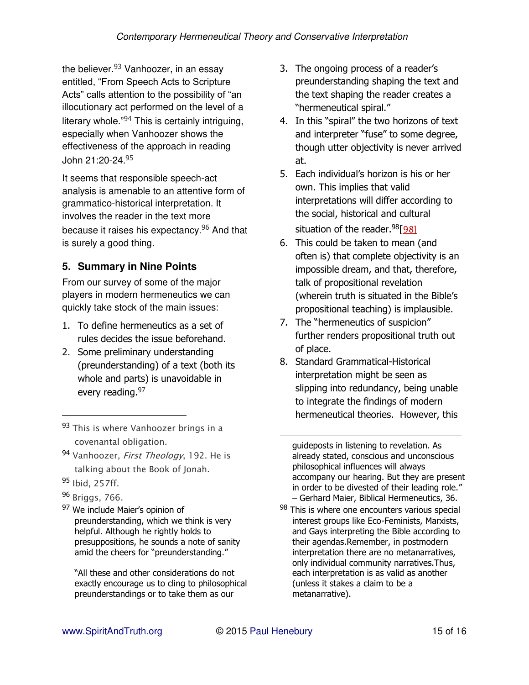the believer.<sup>93</sup> Vanhoozer, in an essay entitled, "From Speech Acts to Scripture Acts" calls attention to the possibility of "an illocutionary act performed on the level of a literary whole."94 This is certainly intriguing, especially when Vanhoozer shows the effectiveness of the approach in reading John 21:20-24.<sup>95</sup>

It seems that responsible speech-act analysis is amenable to an attentive form of grammatico-historical interpretation. It involves the reader in the text more because it raises his expectancy.96 And that is surely a good thing.

# **5. Summary in Nine Points**

From our survey of some of the major players in modern hermeneutics we can quickly take stock of the main issues:

- 1. To define hermeneutics as a set of rules decides the issue beforehand.
- 2. Some preliminary understanding (preunderstanding) of a text (both its whole and parts) is unavoidable in every reading. 97
- <sup>93</sup> *This is where Vanhoozer brings in a covenantal obligation.*
- <sup>94</sup> *Vanhoozer, First Theology, 192. He is talking about the Book of Jonah.*
- <sup>95</sup> *Ibid, 257ff.*

 $\overline{a}$ 

- <sup>96</sup> *Briggs, 766.*
- 97 We include Maier's opinion of preunderstanding, which we think is very helpful. Although he rightly holds to presuppositions, he sounds a note of sanity amid the cheers for "preunderstanding."

"All these and other considerations do not exactly encourage us to cling to philosophical preunderstandings or to take them as our

- 3. The ongoing process of a reader's preunderstanding shaping the text and the text shaping the reader creates a "hermeneutical spiral."
- 4. In this "spiral" the two horizons of text and interpreter "fuse" to some degree, though utter objectivity is never arrived at.
- 5. Each individual's horizon is his or her own. This implies that valid interpretations will differ according to the social, historical and cultural situation of the reader.98[*[98\]](https://wordpress.com/post/1990355/91/#_edn98)*
- 6. This could be taken to mean (and often is) that complete objectivity is an impossible dream, and that, therefore, talk of propositional revelation (wherein truth is situated in the Bible's propositional teaching) is implausible.
- 7. The "hermeneutics of suspicion" further renders propositional truth out of place.
- 8. Standard Grammatical-Historical interpretation might be seen as slipping into redundancy, being unable to integrate the findings of modern hermeneutical theories. However, this

guideposts in listening to revelation. As already stated, conscious and unconscious philosophical influences will always accompany our hearing. But they are present in order to be divested of their leading role." – Gerhard Maier, Biblical Hermeneutics, 36.

98 This is where one encounters various special interest groups like Eco-Feminists, Marxists, and Gays interpreting the Bible according to their agendas.Remember, in postmodern interpretation there are no metanarratives, only individual community narratives.Thus, each interpretation is as valid as another (unless it stakes a claim to be a metanarrative).